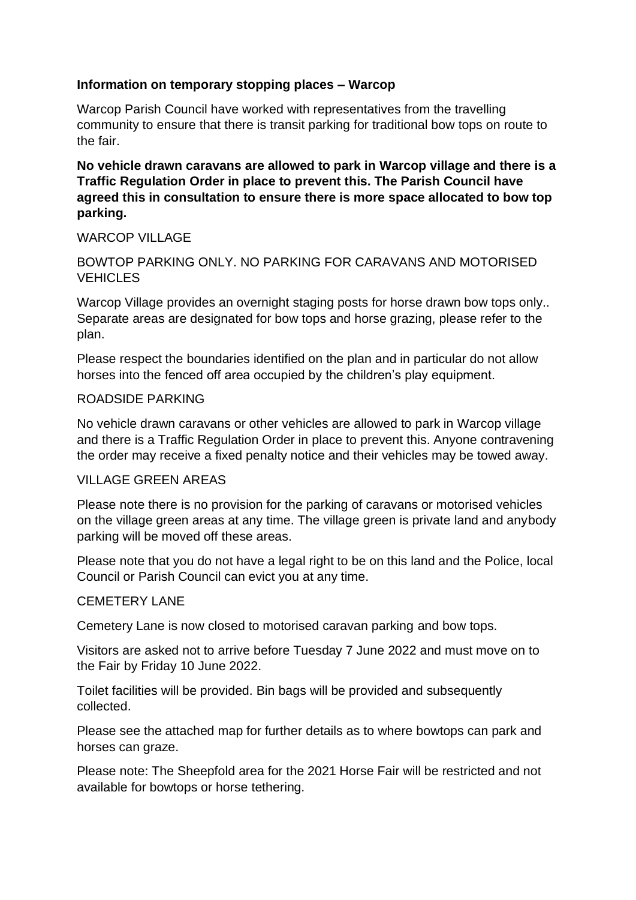### **Information on temporary stopping places – Warcop**

Warcop Parish Council have worked with representatives from the travelling community to ensure that there is transit parking for traditional bow tops on route to the fair.

**No vehicle drawn caravans are allowed to park in Warcop village and there is a Traffic Regulation Order in place to prevent this. The Parish Council have agreed this in consultation to ensure there is more space allocated to bow top parking.**

## WARCOP VII LAGE

# BOWTOP PARKING ONLY. NO PARKING FOR CARAVANS AND MOTORISED **VEHICLES**

Warcop Village provides an overnight staging posts for horse drawn bow tops only.. Separate areas are designated for bow tops and horse grazing, please refer to the plan.

Please respect the boundaries identified on the plan and in particular do not allow horses into the fenced off area occupied by the children's play equipment.

#### ROADSIDE PARKING

No vehicle drawn caravans or other vehicles are allowed to park in Warcop village and there is a Traffic Regulation Order in place to prevent this. Anyone contravening the order may receive a fixed penalty notice and their vehicles may be towed away.

#### VILLAGE GREEN AREAS

Please note there is no provision for the parking of caravans or motorised vehicles on the village green areas at any time. The village green is private land and anybody parking will be moved off these areas.

Please note that you do not have a legal right to be on this land and the Police, local Council or Parish Council can evict you at any time.

#### CEMETERY LANE

Cemetery Lane is now closed to motorised caravan parking and bow tops.

Visitors are asked not to arrive before Tuesday 7 June 2022 and must move on to the Fair by Friday 10 June 2022.

Toilet facilities will be provided. Bin bags will be provided and subsequently collected.

Please see the attached map for further details as to where bowtops can park and horses can graze.

Please note: The Sheepfold area for the 2021 Horse Fair will be restricted and not available for bowtops or horse tethering.